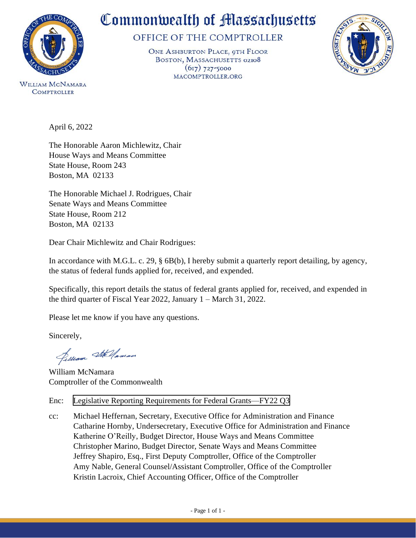

## Commonwealth of Massachusetts

OFFICE OF THE COMPTROLLER

ONE ASHBURTON PLACE, 9TH FLOOR BOSTON, MASSACHUSETTS 02108  $(617)$  727-5000 MACOMPTROLLER.ORG



**WILLIAM MCNAMARA COMPTROLLER** 

April 6, 2022

The Honorable Aaron Michlewitz, Chair House Ways and Means Committee State House, Room 243 Boston, MA 02133

The Honorable Michael J. Rodrigues, Chair Senate Ways and Means Committee State House, Room 212 Boston, MA 02133

Dear Chair Michlewitz and Chair Rodrigues:

In accordance with M.G.L. c. 29, § 6B(b), I hereby submit a quarterly report detailing, by agency, the status of federal funds applied for, received, and expended.

Specifically, this report details the status of federal grants applied for, received, and expended in the third quarter of Fiscal Year 2022, January 1 – March 31, 2022.

Please let me know if you have any questions.

Sincerely,

Jelliam Stellaman

William McNamara Comptroller of the Commonwealth

Enc: [Legislative Reporting Requirements for Federal Grants—FY22 Q3](#page-1-0)

cc: Michael Heffernan, Secretary, Executive Office for Administration and Finance Catharine Hornby, Undersecretary, Executive Office for Administration and Finance Katherine O'Reilly, Budget Director, House Ways and Means Committee Christopher Marino, Budget Director, Senate Ways and Means Committee Jeffrey Shapiro, Esq., First Deputy Comptroller, Office of the Comptroller Amy Nable, General Counsel/Assistant Comptroller, Office of the Comptroller Kristin Lacroix, Chief Accounting Officer, Office of the Comptroller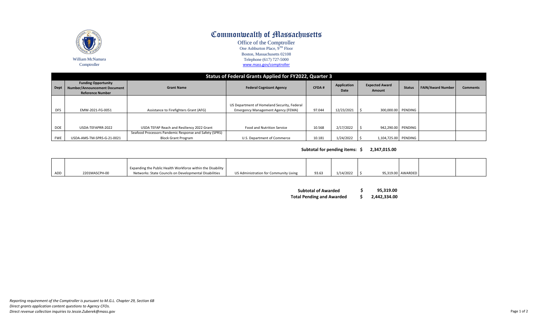<span id="page-1-0"></span>

## Commonwealth of Massachusetts

Office of the Comptroller One Ashburton Place, 9<sup>TH</sup> Floor Boston, Massachusetts 02108 Telephone (617) 727-5000 [www.mass.gov/comptroller](http://www.mass.gov/comptroller)

|            | Status of Federal Grants Applied for FY2022, Quarter 3                                       |                                                                                      |                                                                                          |              |                            |                                 |               |                          |                 |  |  |
|------------|----------------------------------------------------------------------------------------------|--------------------------------------------------------------------------------------|------------------------------------------------------------------------------------------|--------------|----------------------------|---------------------------------|---------------|--------------------------|-----------------|--|--|
| Dept       | <b>Funding Opportunity</b><br><b>Number/Announcement Document</b><br><b>Reference Number</b> | <b>Grant Name</b>                                                                    | <b>Federal Cognizant Agency</b>                                                          | <b>CFDA#</b> | Application<br><b>Date</b> | <b>Expected Award</b><br>Amount | <b>Status</b> | <b>FAIN/Award Number</b> | <b>Comments</b> |  |  |
| <b>DFS</b> | EMW-2021-FG-0051                                                                             | Assistance to Firefighters Grant (AFG)                                               | US Department of Homeland Security, Federal<br><b>Emergency Management Agency (FEMA)</b> | 97.044       | 12/23/2021                 | 300.000.00                      | PENDING       |                          |                 |  |  |
| <b>DOE</b> | USDA-TEFAPRR-2022                                                                            | USDA TEFAP Reach and Resiliency 2022 Grant                                           | Food and Nutrition Service                                                               | 10.568       | 2/17/2022                  | 942,290.00                      | PENDING       |                          |                 |  |  |
| <b>FWE</b> | USDA-AMS-TM-SPRS-G-21-0021                                                                   | Seafood Processors Pandemic Response and Safety (SPRS)<br><b>Block Grant Program</b> | U.S. Department of Commerce                                                              | 10.181       | 1/24/2022                  | 1,104,725.00                    | PENDING       |                          |                 |  |  |

## **Subtotal for pending items: \$ 2,347,015.00**

|     |               | Expanding the Public Health Workforce within the Disability |                                        |       |           |                   |  |
|-----|---------------|-------------------------------------------------------------|----------------------------------------|-------|-----------|-------------------|--|
| ADD | 2201MASCPH-00 | Networks: State Councils on Developmental Disabilities      | US Administration for Community Living | 93.63 | 1/14/2022 | 05.319.00 AWARDED |  |

| <b>Subtotal of Awarded</b>       | 95,319.00    |
|----------------------------------|--------------|
| <b>Total Pending and Awarded</b> | 2,442,334.00 |